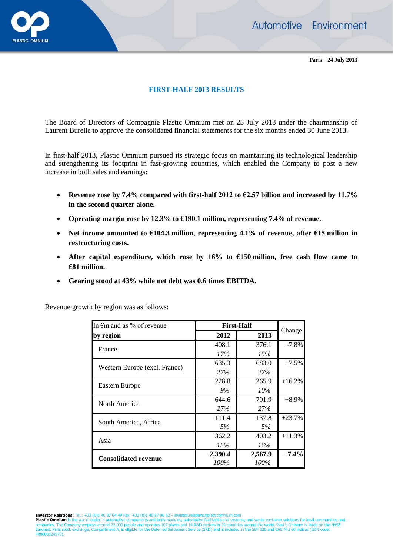

**Paris – 24 July 2013**

# **FIRST-HALF 2013 RESULTS**

The Board of Directors of Compagnie Plastic Omnium met on 23 July 2013 under the chairmanship of Laurent Burelle to approve the consolidated financial statements for the six months ended 30 June 2013.

In first-half 2013, Plastic Omnium pursued its strategic focus on maintaining its technological leadership and strengthening its footprint in fast-growing countries, which enabled the Company to post a new increase in both sales and earnings:

- **Revenue rose by 7.4% compared with first-half 2012 to €2.57 billion and increased by 11.7% in the second quarter alone.**
- **Operating margin rose by 12.3% to €190.1 million, representing 7.4% of revenue.**
- **Net income amounted to €104.3 million, representing 4.1% of revenue, after €15 million in restructuring costs.**
- **After capital expenditure, which rose by 16% to €150 million, free cash flow came to €81 million.**
- **Gearing stood at 43% while net debt was 0.6 times EBITDA.**

Revenue growth by region was as follows:

| In $\epsilon$ m and as % of revenue | <b>First-Half</b> |            |          |
|-------------------------------------|-------------------|------------|----------|
| by region                           | 2012              | 2013       | Change   |
| France                              | 408.1             | 376.1      | $-7.8\%$ |
|                                     | 17%               | 15%        |          |
| Western Europe (excl. France)       | 635.3             | 683.0      | $+7.5%$  |
|                                     | <b>27%</b>        | <b>27%</b> |          |
| Eastern Europe                      | 228.8             | 265.9      | $+16.2%$ |
|                                     | 9%                | 10%        |          |
| North America                       | 644.6             | 701.9      | $+8.9\%$ |
|                                     | <b>27%</b>        | 27%        |          |
| South America, Africa               | 111.4             | 137.8      | $+23.7%$ |
|                                     | 5%                | 5%         |          |
| Asia                                | 362.2             | 403.2      | $+11.3%$ |
|                                     | 15%               | 16%        |          |
| <b>Consolidated revenue</b>         | 2,390.4           | 2,567.9    | $+7.4%$  |
|                                     | 100%              | 100%       |          |

**Investor Relations:** Tel.: +33 (0)1 40 87 64 49 Fax: +33 (0)1 40 87 96 62 - investor.relations@plasticomnium.com<br>**Plastic Omnium** is the world leader in automotive components and body modules, automotive fuel tanks and sy Euronext Paris stock exchange, Compartment A, is eligible for the Deferred Settlement Service (SRD) and is included in the SBF 120 and CAC Mid 60 indices (ISIN code: FR0000124570).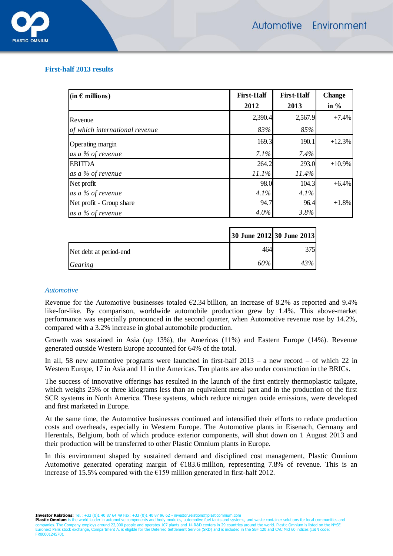

# **First-half 2013 results**

| (in $\epsilon$ millions)       | <b>First-Half</b> | <b>First-Half</b> | <b>Change</b> |
|--------------------------------|-------------------|-------------------|---------------|
|                                | 2012              | 2013              | in $%$        |
| Revenue                        | 2,390.4           | 2,567.9           | $+7.4%$       |
| of which international revenue | 83%               | 85%               |               |
| Operating margin               | 169.3             | 190.1             | $+12.3%$      |
| as a % of revenue              | 7.1%              | 7.4%              |               |
| <b>EBITDA</b>                  | 264.2             | 293.0             | $+10.9%$      |
| as a % of revenue              | 11.1%             | 11.4%             |               |
| Net profit                     | 98.0              | 104.3             | $+6.4%$       |
| as a % of revenue              | 4.1%              | 4.1%              |               |
| Net profit - Group share       | 94.7              | 96.4              | $+1.8%$       |
| as a % of revenue              | $4.0\%$           | 3.8%              |               |

|                        |     | 30 June 2012 30 June 2013 |
|------------------------|-----|---------------------------|
| Net debt at period-end | 464 |                           |
| Gearing                | 60% | 43%                       |

#### *Automotive*

Revenue for the Automotive businesses totaled  $E2.34$  billion, an increase of 8.2% as reported and 9.4% like-for-like. By comparison, worldwide automobile production grew by 1.4%. This above-market performance was especially pronounced in the second quarter, when Automotive revenue rose by 14.2%, compared with a 3.2% increase in global automobile production.

Growth was sustained in Asia (up 13%), the Americas (11%) and Eastern Europe (14%). Revenue generated outside Western Europe accounted for 64% of the total.

In all, 58 new automotive programs were launched in first-half  $2013 - a$  new record – of which 22 in Western Europe, 17 in Asia and 11 in the Americas. Ten plants are also under construction in the BRICs.

The success of innovative offerings has resulted in the launch of the first entirely thermoplastic tailgate, which weighs 25% or three kilograms less than an equivalent metal part and in the production of the first SCR systems in North America. These systems, which reduce nitrogen oxide emissions, were developed and first marketed in Europe.

At the same time, the Automotive businesses continued and intensified their efforts to reduce production costs and overheads, especially in Western Europe. The Automotive plants in Eisenach, Germany and Herentals, Belgium, both of which produce exterior components, will shut down on 1 August 2013 and their production will be transferred to other Plastic Omnium plants in Europe.

In this environment shaped by sustained demand and disciplined cost management, Plastic Omnium Automotive generated operating margin of  $\epsilon$ 183.6 million, representing 7.8% of revenue. This is an increase of 15.5% compared with the  $E$ 159 million generated in first-half 2012.

**Investor Relations:** Tel.: +33 (0)1 40 87 64 49 Fax: +33 (0)1 40 87 96 62 - investor.relations@plasticomnium.com<br>**Plastic Omnium** is the world leader in automotive components and body modules, automotive fuel tanks and sy Euronext Paris stock exchange, Compartment A, is eligible for the Deferred Settlement Service (SRD) and is included in the SBF 120 and CAC Mid 60 indices (ISIN code: FR0000124570).